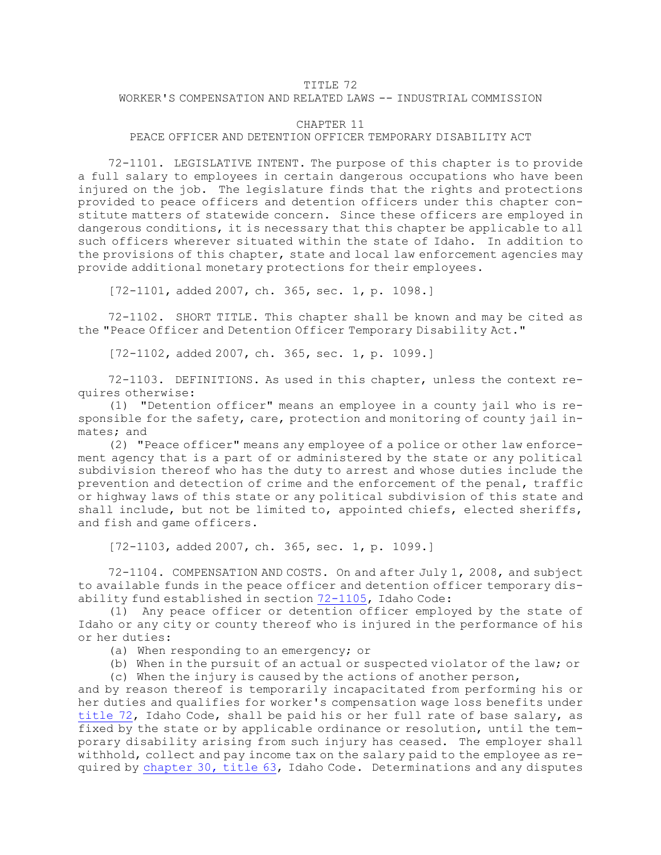## TITLE 72

## WORKER'S COMPENSATION AND RELATED LAWS -- INDUSTRIAL COMMISSION

## CHAPTER 11

## PEACE OFFICER AND DETENTION OFFICER TEMPORARY DISABILITY ACT

72-1101. LEGISLATIVE INTENT. The purpose of this chapter is to provide <sup>a</sup> full salary to employees in certain dangerous occupations who have been injured on the job. The legislature finds that the rights and protections provided to peace officers and detention officers under this chapter constitute matters of statewide concern. Since these officers are employed in dangerous conditions, it is necessary that this chapter be applicable to all such officers wherever situated within the state of Idaho. In addition to the provisions of this chapter, state and local law enforcement agencies may provide additional monetary protections for their employees.

[72-1101, added 2007, ch. 365, sec. 1, p. 1098.]

72-1102. SHORT TITLE. This chapter shall be known and may be cited as the "Peace Officer and Detention Officer Temporary Disability Act."

[72-1102, added 2007, ch. 365, sec. 1, p. 1099.]

72-1103. DEFINITIONS. As used in this chapter, unless the context requires otherwise:

(1) "Detention officer" means an employee in <sup>a</sup> county jail who is responsible for the safety, care, protection and monitoring of county jail inmates; and

(2) "Peace officer" means any employee of <sup>a</sup> police or other law enforcement agency that is <sup>a</sup> part of or administered by the state or any political subdivision thereof who has the duty to arrest and whose duties include the prevention and detection of crime and the enforcement of the penal, traffic or highway laws of this state or any political subdivision of this state and shall include, but not be limited to, appointed chiefs, elected sheriffs, and fish and game officers.

[72-1103, added 2007, ch. 365, sec. 1, p. 1099.]

72-1104. COMPENSATION AND COSTS. On and after July 1, 2008, and subject to available funds in the peace officer and detention officer temporary disability fund established in section [72-1105](https://legislature.idaho.gov/statutesrules/idstat/Title72/T72CH11/SECT72-1105), Idaho Code:

(1) Any peace officer or detention officer employed by the state of Idaho or any city or county thereof who is injured in the performance of his or her duties:

(a) When responding to an emergency; or

(b) When in the pursuit of an actual or suspected violator of the law; or

(c) When the injury is caused by the actions of another person,

and by reason thereof is temporarily incapacitated from performing his or her duties and qualifies for worker's compensation wage loss benefits under [title](https://legislature.idaho.gov/statutesrules/idstat/Title72/) 72, Idaho Code, shall be paid his or her full rate of base salary, as fixed by the state or by applicable ordinance or resolution, until the temporary disability arising from such injury has ceased. The employer shall withhold, collect and pay income tax on the salary paid to the employee as required by [chapter](https://legislature.idaho.gov/statutesrules/idstat/Title63/T63CH30) 30, title 63, Idaho Code. Determinations and any disputes